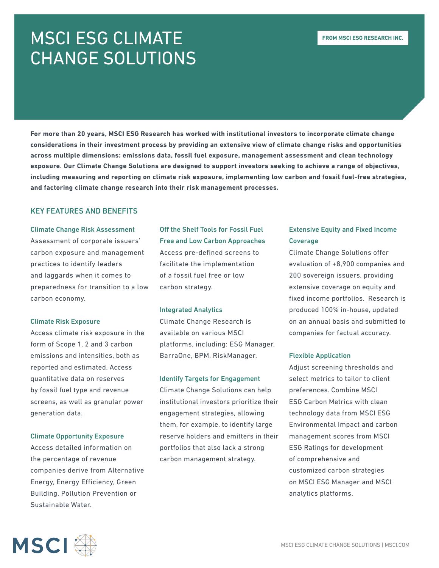# MSCI ESG CLIMATE CHANGE SOLUTIONS

**For more than 20 years, MSCI ESG Research has worked with institutional investors to incorporate climate change considerations in their investment process by providing an extensive view of climate change risks and opportunities across multiple dimensions: emissions data, fossil fuel exposure, management assessment and clean technology exposure. Our Climate Change Solutions are designed to support investors seeking to achieve a range of objectives, including measuring and reporting on climate risk exposure, implementing low carbon and fossil fuel-free strategies, and factoring climate change research into their risk management processes.**

# KEY FEATURES AND BENEFITS

# Climate Change Risk Assessment

Assessment of corporate issuers' carbon exposure and management practices to identify leaders and laggards when it comes to preparedness for transition to a low carbon economy.

# Access pre-defined screens to facilitate the implementation of a fossil fuel free or low carbon strategy.

Off the Shelf Tools for Fossil Fuel Free and Low Carbon Approaches

## Integrated Analytics

Climate Change Research is available on various MSCI platforms, including: ESG Manager, BarraOne, BPM, RiskManager.

## Identify Targets for Engagement

Climate Change Solutions can help institutional investors prioritize their engagement strategies, allowing them, for example, to identify large reserve holders and emitters in their portfolios that also lack a strong carbon management strategy.

# Extensive Equity and Fixed Income Coverage

Climate Change Solutions offer evaluation of +8,900 companies and 200 sovereign issuers, providing extensive coverage on equity and fixed income portfolios. Research is produced 100% in-house, updated on an annual basis and submitted to companies for factual accuracy.

#### Flexible Application

Adjust screening thresholds and select metrics to tailor to client preferences. Combine MSCI ESG Carbon Metrics with clean technology data from MSCI ESG Environmental Impact and carbon management scores from MSCI ESG Ratings for development of comprehensive and customized carbon strategies on MSCI ESG Manager and MSCI analytics platforms.

#### Climate Risk Exposure

Access climate risk exposure in the form of Scope 1, 2 and 3 carbon emissions and intensities, both as reported and estimated. Access quantitative data on reserves by fossil fuel type and revenue screens, as well as granular power generation data.

#### Climate Opportunity Exposure

Access detailed information on the percentage of revenue companies derive from Alternative Energy, Energy Efficiency, Green Building, Pollution Prevention or Sustainable Water.

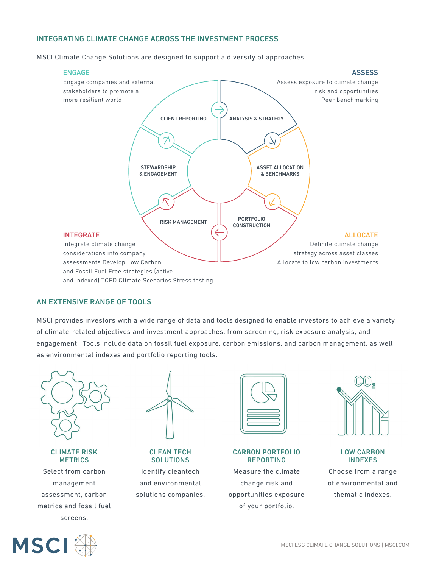# INTEGRATING CLIMATE CHANGE ACROSS THE INVESTMENT PROCESS

MSCI Climate Change Solutions are designed to support a diversity of approaches



# AN EXTENSIVE RANGE OF TOOLS

MSCI provides investors with a wide range of data and tools designed to enable investors to achieve a variety of climate-related objectives and investment approaches, from screening, risk exposure analysis, and engagement. Tools include data on fossil fuel exposure, carbon emissions, and carbon management, as well as environmental indexes and portfolio reporting tools.



CLIMATE RISK **METRICS** Select from carbon management

assessment, carbon metrics and fossil fuel screens.



CLEAN TECH **SOLUTIONS** Identify cleantech and environmental solutions companies.

| OKO                                                                                                                                                                                                                                                                                                                                                          |
|--------------------------------------------------------------------------------------------------------------------------------------------------------------------------------------------------------------------------------------------------------------------------------------------------------------------------------------------------------------|
| the control of the control of the control of the control of the control of<br>the control of the control of the con-<br><u>and the company of the company of the company of the company of the company of the company of the company of the company of the company of the company of the company of the company of the company of the company of the com</u> |

# CARBON PORTFOLIO REPORTING

Measure the climate change risk and opportunities exposure of your portfolio.



# LOW CARBON INDEXES

Choose from a range of environmental and thematic indexes.